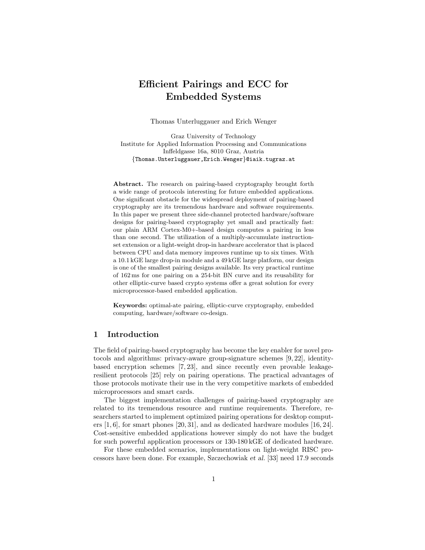# Efficient Pairings and ECC for Embedded Systems

Thomas Unterluggauer and Erich Wenger

Graz University of Technology Institute for Applied Information Processing and Communications Inffeldgasse 16a, 8010 Graz, Austria {Thomas.Unterluggauer,Erich.Wenger}@iaik.tugraz.at

Abstract. The research on pairing-based cryptography brought forth a wide range of protocols interesting for future embedded applications. One significant obstacle for the widespread deployment of pairing-based cryptography are its tremendous hardware and software requirements. In this paper we present three side-channel protected hardware/software designs for pairing-based cryptography yet small and practically fast: our plain ARM Cortex-M0+-based design computes a pairing in less than one second. The utilization of a multiply-accumulate instructionset extension or a light-weight drop-in hardware accelerator that is placed between CPU and data memory improves runtime up to six times. With a 10.1 kGE large drop-in module and a 49 kGE large platform, our design is one of the smallest pairing designs available. Its very practical runtime of 162 ms for one pairing on a 254-bit BN curve and its reusability for other elliptic-curve based crypto systems offer a great solution for every microprocessor-based embedded application.

Keywords: optimal-ate pairing, elliptic-curve cryptography, embedded computing, hardware/software co-design.

# 1 Introduction

The field of pairing-based cryptography has become the key enabler for novel protocols and algorithms: privacy-aware group-signature schemes [9, 22], identitybased encryption schemes [7, 23], and since recently even provable leakageresilient protocols [25] rely on pairing operations. The practical advantages of those protocols motivate their use in the very competitive markets of embedded microprocessors and smart cards.

The biggest implementation challenges of pairing-based cryptography are related to its tremendous resource and runtime requirements. Therefore, researchers started to implement optimized pairing operations for desktop computers  $[1, 6]$ , for smart phones  $[20, 31]$ , and as dedicated hardware modules  $[16, 24]$ . Cost-sensitive embedded applications however simply do not have the budget for such powerful application processors or 130-180 kGE of dedicated hardware.

For these embedded scenarios, implementations on light-weight RISC processors have been done. For example, Szczechowiak et al. [33] need 17.9 seconds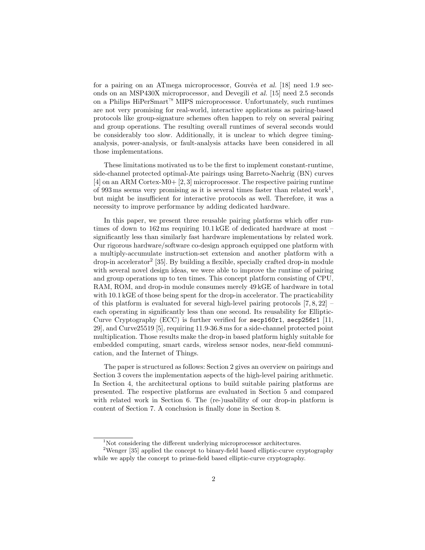for a pairing on an ATmega microprocessor, Gouvêa et al. [18] need 1.9 seconds on an MSP430X microprocessor, and Devegili et al. [15] need 2.5 seconds on a Philips HiPerSmart<sup> $M$ </sup> MIPS microprocessor. Unfortunately, such runtimes are not very promising for real-world, interactive applications as pairing-based protocols like group-signature schemes often happen to rely on several pairing and group operations. The resulting overall runtimes of several seconds would be considerably too slow. Additionally, it is unclear to which degree timinganalysis, power-analysis, or fault-analysis attacks have been considered in all those implementations.

These limitations motivated us to be the first to implement constant-runtime, side-channel protected optimal-Ate pairings using Barreto-Naehrig (BN) curves [4] on an ARM Cortex-M0+ [2, 3] microprocessor. The respective pairing runtime of 993 ms seems very promising as it is several times faster than related work<sup>1</sup>, but might be insufficient for interactive protocols as well. Therefore, it was a necessity to improve performance by adding dedicated hardware.

In this paper, we present three reusable pairing platforms which offer runtimes of down to 162 ms requiring 10.1 kGE of dedicated hardware at most – significantly less than similarly fast hardware implementations by related work. Our rigorous hardware/software co-design approach equipped one platform with a multiply-accumulate instruction-set extension and another platform with a drop-in accelerator<sup>2</sup> [35]. By building a flexible, specially crafted drop-in module with several novel design ideas, we were able to improve the runtime of pairing and group operations up to ten times. This concept platform consisting of CPU, RAM, ROM, and drop-in module consumes merely 49 kGE of hardware in total with  $10.1 \text{ kGE}$  of those being spent for the drop-in accelerator. The practicability of this platform is evaluated for several high-level pairing protocols  $[7, 8, 22]$ each operating in significantly less than one second. Its reusability for Elliptic-Curve Cryptography (ECC) is further verified for secp160r1, secp256r1 [11, 29], and Curve25519 [5], requiring 11.9-36.8 ms for a side-channel protected point multiplication. Those results make the drop-in based platform highly suitable for embedded computing, smart cards, wireless sensor nodes, near-field communication, and the Internet of Things.

The paper is structured as follows: Section 2 gives an overview on pairings and Section 3 covers the implementation aspects of the high-level pairing arithmetic. In Section 4, the architectural options to build suitable pairing platforms are presented. The respective platforms are evaluated in Section 5 and compared with related work in Section 6. The (re-)usability of our drop-in platform is content of Section 7. A conclusion is finally done in Section 8.

<sup>&</sup>lt;sup>1</sup>Not considering the different underlying microprocessor architectures.

<sup>&</sup>lt;sup>2</sup>Wenger [35] applied the concept to binary-field based elliptic-curve cryptography while we apply the concept to prime-field based elliptic-curve cryptography.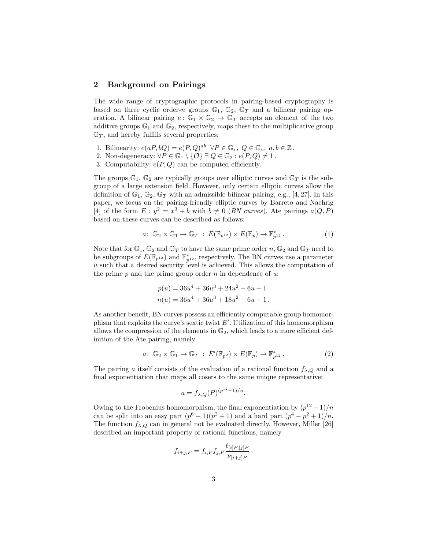#### 2 Background on Pairings

The wide range of cryptographic protocols in pairing-based cryptography is based on three cyclic order-n groups  $\mathbb{G}_1$ ,  $\mathbb{G}_2$ ,  $\mathbb{G}_T$  and a bilinear pairing operation. A bilinear pairing  $e : \mathbb{G}_1 \times \mathbb{G}_2 \to \mathbb{G}_T$  accepts an element of the two additive groups  $\mathbb{G}_1$  and  $\mathbb{G}_2$ , respectively, maps these to the multiplicative group  $\mathbb{G}_T$ , and hereby fulfills several properties:

- 1. Bilinearity:  $e(aP, bQ) = e(P, Q)^{ab} \ \forall P \in \mathbb{G}_1, Q \in \mathbb{G}_2, a, b \in \mathbb{Z}$ .
- 2. Non-degeneracy:  $\forall P \in \mathbb{G}_1 \setminus \{O\} \exists Q \in \mathbb{G}_2 : e(P,Q) \neq 1$ .
- 3. Computability:  $e(P,Q)$  can be computed efficiently.

The groups  $\mathbb{G}_1$ ,  $\mathbb{G}_2$  are typically groups over elliptic curves and  $\mathbb{G}_T$  is the subgroup of a large extension field. However, only certain elliptic curves allow the definition of  $\mathbb{G}_1$ ,  $\mathbb{G}_2$ ,  $\mathbb{G}_T$  with an admissible bilinear pairing, e.g., [4, 27]. In this paper, we focus on the pairing-friendly elliptic curves by Barreto and Naehrig [4] of the form  $E: y^2 = x^3 + b$  with  $b \neq 0$  (*BN curves*). Ate pairings  $a(Q, P)$ based on these curves can be described as follows:

$$
a\colon \mathbb{G}_2 \times \mathbb{G}_1 \to \mathbb{G}_T \; : \; E(\mathbb{F}_{p^{12}}) \times E(\mathbb{F}_p) \to \mathbb{F}_{p^{12}}^* \,. \tag{1}
$$

Note that for  $\mathbb{G}_1$ ,  $\mathbb{G}_2$  and  $\mathbb{G}_T$  to have the same prime order n,  $\mathbb{G}_2$  and  $\mathbb{G}_T$  need to be subgroups of  $E(\mathbb{F}_{p^{12}})$  and  $\mathbb{F}_{p^{12}}^*$ , respectively. The BN curves use a parameter u such that a desired security level is achieved. This allows the computation of the prime  $p$  and the prime group order  $n$  in dependence of  $u$ :

$$
p(u) = 36u4 + 36u3 + 24u2 + 6u + 1
$$
  

$$
n(u) = 36u4 + 36u3 + 18u2 + 6u + 1.
$$

As another benefit, BN curves possess an efficiently computable group homomorphism that exploits the curve's sextic twist  $E'$ . Utilization of this homomorphism allows the compression of the elements in  $\mathbb{G}_2$ , which leads to a more efficient definition of the Ate pairing, namely

$$
a\colon \mathbb{G}_2 \times \mathbb{G}_1 \to \mathbb{G}_T : E'(\mathbb{F}_{p^2}) \times E(\mathbb{F}_p) \to \mathbb{F}_{p^{12}}^*.
$$
 (2)

The pairing a itself consists of the evaluation of a rational function  $f_{\lambda,Q}$  and a final exponentiation that maps all cosets to the same unique representative:

$$
a = f_{\lambda,Q}(P)^{(p^{12}-1)/n}.
$$

Owing to the Frobenius homomorphism, the final exponentiation by  $\left(\frac{p^{12}-1}{p}\right)$ can be split into an easy part  $(p^6 - 1)(p^2 + 1)$  and a hard part  $(p^4 - p^2 + 1)/n$ . The function  $f_{\lambda,Q}$  can in general not be evaluated directly. However, Miller [26] described an important property of rational functions, namely

$$
f_{i+j,P} = f_{i,P} f_{j,P} \frac{\ell_{[i]P,[j]P}}{\nu_{[i+j]P}}.
$$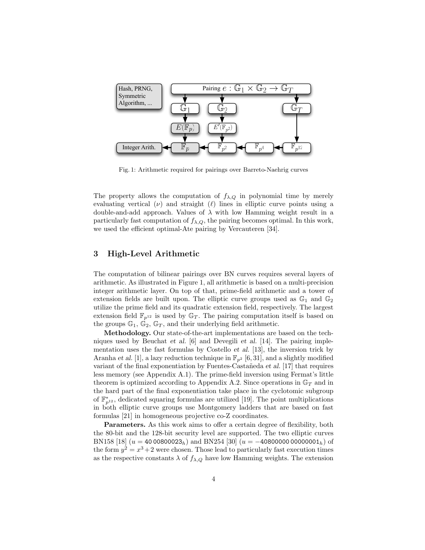

Fig. 1: Arithmetic required for pairings over Barreto-Naehrig curves

The property allows the computation of  $f_{\lambda,Q}$  in polynomial time by merely evaluating vertical  $(\nu)$  and straight  $(\ell)$  lines in elliptic curve points using a double-and-add approach. Values of  $\lambda$  with low Hamming weight result in a particularly fast computation of  $f_{\lambda,Q}$ , the pairing becomes optimal. In this work, we used the efficient optimal-Ate pairing by Vercauteren [34].

# 3 High-Level Arithmetic

The computation of bilinear pairings over BN curves requires several layers of arithmetic. As illustrated in Figure 1, all arithmetic is based on a multi-precision integer arithmetic layer. On top of that, prime-field arithmetic and a tower of extension fields are built upon. The elliptic curve groups used as  $\mathbb{G}_1$  and  $\mathbb{G}_2$ utilize the prime field and its quadratic extension field, respectively. The largest extension field  $\mathbb{F}_{p^{12}}$  is used by  $\mathbb{G}_T$ . The pairing computation itself is based on the groups  $\mathbb{G}_1$ ,  $\mathbb{G}_2$ ,  $\mathbb{G}_T$ , and their underlying field arithmetic.

Methodology. Our state-of-the-art implementations are based on the techniques used by Beuchat et al. [6] and Devegili et al. [14]. The pairing implementation uses the fast formulas by Costello et al. [13], the inversion trick by Aranha et al. [1], a lazy reduction technique in  $\mathbb{F}_{p^2}$  [6, 31], and a slightly modified variant of the final exponentiation by Fuentes-Castañeda et al. [17] that requires less memory (see Appendix A.1). The prime-field inversion using Fermat's little theorem is optimized according to Appendix A.2. Since operations in  $\mathbb{G}_T$  and in the hard part of the final exponentiation take place in the cyclotomic subgroup of  $\mathbb{F}_{p^{12}}^*$ , dedicated squaring formulas are utilized [19]. The point multiplications in both elliptic curve groups use Montgomery ladders that are based on fast formulas [21] in homogeneous projective co-Z coordinates.

Parameters. As this work aims to offer a certain degree of flexibility, both the 80-bit and the 128-bit security level are supported. The two elliptic curves BN158 [18]  $(u = 4000800023_h)$  and BN254 [30]  $(u = -40800000000001_h)$  of the form  $y^2 = x^3 + 2$  were chosen. Those lead to particularly fast execution times as the respective constants  $\lambda$  of  $f_{\lambda,Q}$  have low Hamming weights. The extension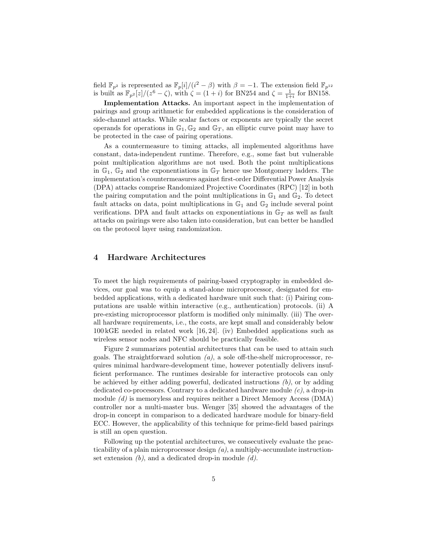field  $\mathbb{F}_{p^2}$  is represented as  $\mathbb{F}_p[i]/(i^2 - \beta)$  with  $\beta = -1$ . The extension field  $\mathbb{F}_{p^{12}}$ is built as  $\mathbb{F}_{p^2}[z]/(z^6 - \zeta)$ , with  $\zeta = (1 + i)$  for BN254 and  $\zeta = \frac{1}{1+i}$  for BN158.

Implementation Attacks. An important aspect in the implementation of pairings and group arithmetic for embedded applications is the consideration of side-channel attacks. While scalar factors or exponents are typically the secret operands for operations in  $\mathbb{G}_1, \mathbb{G}_2$  and  $\mathbb{G}_T$ , an elliptic curve point may have to be protected in the case of pairing operations.

As a countermeasure to timing attacks, all implemented algorithms have constant, data-independent runtime. Therefore, e.g., some fast but vulnerable point multiplication algorithms are not used. Both the point multiplications in  $\mathbb{G}_1$ ,  $\mathbb{G}_2$  and the exponentiations in  $\mathbb{G}_T$  hence use Montgomery ladders. The implementation's countermeasures against first-order Differential Power Analysis (DPA) attacks comprise Randomized Projective Coordinates (RPC) [12] in both the pairing computation and the point multiplications in  $\mathbb{G}_1$  and  $\mathbb{G}_2$ . To detect fault attacks on data, point multiplications in  $\mathbb{G}_1$  and  $\mathbb{G}_2$  include several point verifications. DPA and fault attacks on exponentiations in  $\mathbb{G}_T$  as well as fault attacks on pairings were also taken into consideration, but can better be handled on the protocol layer using randomization.

#### 4 Hardware Architectures

To meet the high requirements of pairing-based cryptography in embedded devices, our goal was to equip a stand-alone microprocessor, designated for embedded applications, with a dedicated hardware unit such that: (i) Pairing computations are usable within interactive (e.g., authentication) protocols. (ii) A pre-existing microprocessor platform is modified only minimally. (iii) The overall hardware requirements, i.e., the costs, are kept small and considerably below 100 kGE needed in related work [16, 24]. (iv) Embedded applications such as wireless sensor nodes and NFC should be practically feasible.

Figure 2 summarizes potential architectures that can be used to attain such goals. The straightforward solution  $(a)$ , a sole off-the-shelf microprocessor, requires minimal hardware-development time, however potentially delivers insufficient performance. The runtimes desirable for interactive protocols can only be achieved by either adding powerful, dedicated instructions  $(b)$ , or by adding dedicated co-processors. Contrary to a dedicated hardware module  $(c)$ , a drop-in module  $(d)$  is memoryless and requires neither a Direct Memory Access (DMA) controller nor a multi-master bus. Wenger [35] showed the advantages of the drop-in concept in comparison to a dedicated hardware module for binary-field ECC. However, the applicability of this technique for prime-field based pairings is still an open question.

Following up the potential architectures, we consecutively evaluate the practicability of a plain microprocessor design  $(a)$ , a multiply-accumulate instructionset extension  $(b)$ , and a dedicated drop-in module  $(d)$ .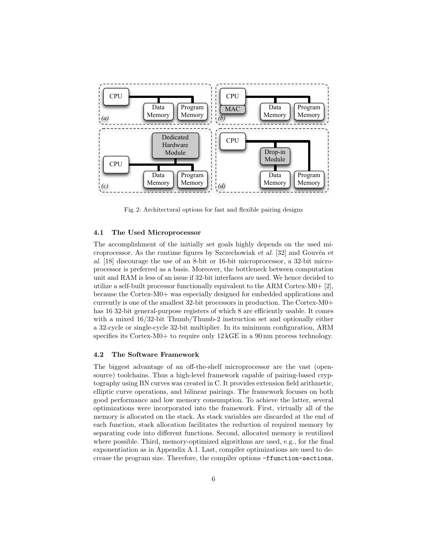

Fig. 2: Architectural options for fast and flexible pairing designs

#### 4.1 The Used Microprocessor

The accomplishment of the initially set goals highly depends on the used microprocessor. As the runtime figures by Szczechowiak et al.  $[32]$  and Gouvêa et al. [18] discourage the use of an 8-bit or 16-bit microprocessor, a 32-bit microprocessor is preferred as a basis. Moreover, the bottleneck between computation unit and RAM is less of an issue if 32-bit interfaces are used. We hence decided to utilize a self-built processor functionally equivalent to the ARM Cortex-M0+ [2], because the Cortex-M0+ was especially designed for embedded applications and currently is one of the smallest 32-bit processors in production. The Cortex-M0+ has 16 32-bit general-purpose registers of which 8 are efficiently usable. It comes with a mixed 16/32-bit Thumb/Thumb-2 instruction set and optionally either a 32-cycle or single-cycle 32-bit multiplier. In its minimum configuration, ARM specifies its Cortex-M0+ to require only  $12 \text{ kGE}$  in a 90 nm process technology.

#### 4.2 The Software Framework

The biggest advantage of an off-the-shelf microprocessor are the vast (opensource) toolchains. Thus a high-level framework capable of pairing-based cryptography using BN curves was created in C. It provides extension field arithmetic, elliptic curve operations, and bilinear pairings. The framework focuses on both good performance and low memory consumption. To achieve the latter, several optimizations were incorporated into the framework. First, virtually all of the memory is allocated on the stack. As stack variables are discarded at the end of each function, stack allocation facilitates the reduction of required memory by separating code into different functions. Second, allocated memory is reutilized where possible. Third, memory-optimized algorithms are used, e.g., for the final exponentiation as in Appendix A.1. Last, compiler optimizations are used to decrease the program size. Therefore, the compiler options -ffunction-sections,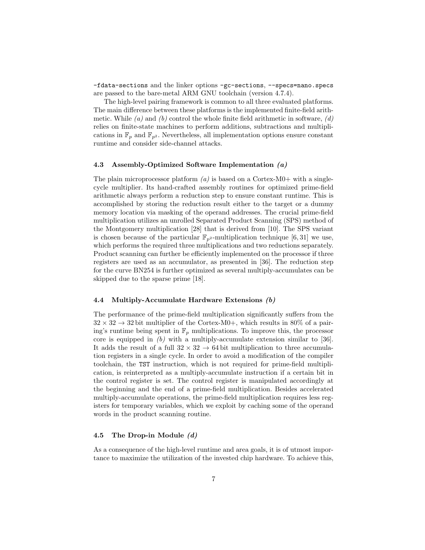-fdata-sections and the linker options -gc-sections, --specs=nano.specs are passed to the bare-metal ARM GNU toolchain (version 4.7.4).

The high-level pairing framework is common to all three evaluated platforms. The main difference between these platforms is the implemented finite-field arithmetic. While  $(a)$  and  $(b)$  control the whole finite field arithmetic in software,  $(d)$ relies on finite-state machines to perform additions, subtractions and multiplications in  $\mathbb{F}_p$  and  $\mathbb{F}_{p^2}$ . Nevertheless, all implementation options ensure constant runtime and consider side-channel attacks.

#### 4.3 Assembly-Optimized Software Implementation (a)

The plain microprocessor platform  $(a)$  is based on a Cortex-M0+ with a singlecycle multiplier. Its hand-crafted assembly routines for optimized prime-field arithmetic always perform a reduction step to ensure constant runtime. This is accomplished by storing the reduction result either to the target or a dummy memory location via masking of the operand addresses. The crucial prime-field multiplication utilizes an unrolled Separated Product Scanning (SPS) method of the Montgomery multiplication [28] that is derived from [10]. The SPS variant is chosen because of the particular  $\mathbb{F}_{p^2}$ -multiplication technique [6, 31] we use, which performs the required three multiplications and two reductions separately. Product scanning can further be efficiently implemented on the processor if three registers are used as an accumulator, as presented in [36]. The reduction step for the curve BN254 is further optimized as several multiply-accumulates can be skipped due to the sparse prime [18].

#### 4.4 Multiply-Accumulate Hardware Extensions (b)

The performance of the prime-field multiplication significantly suffers from the  $32 \times 32 \rightarrow 32$  bit multiplier of the Cortex-M0+, which results in 80% of a pairing's runtime being spent in  $\mathbb{F}_p$  multiplications. To improve this, the processor core is equipped in  $(b)$  with a multiply-accumulate extension similar to [36]. It adds the result of a full  $32 \times 32 \rightarrow 64$  bit multiplication to three accumulation registers in a single cycle. In order to avoid a modification of the compiler toolchain, the TST instruction, which is not required for prime-field multiplication, is reinterpreted as a multiply-accumulate instruction if a certain bit in the control register is set. The control register is manipulated accordingly at the beginning and the end of a prime-field multiplication. Besides accelerated multiply-accumulate operations, the prime-field multiplication requires less registers for temporary variables, which we exploit by caching some of the operand words in the product scanning routine.

#### 4.5 The Drop-in Module (d)

As a consequence of the high-level runtime and area goals, it is of utmost importance to maximize the utilization of the invested chip hardware. To achieve this,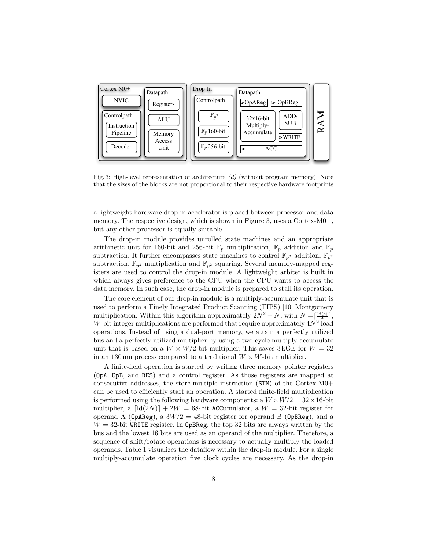

Fig. 3: High-level representation of architecture (d) (without program memory). Note that the sizes of the blocks are not proportional to their respective hardware footprints

a lightweight hardware drop-in accelerator is placed between processor and data memory. The respective design, which is shown in Figure 3, uses a Cortex-M0+, but any other processor is equally suitable.

The drop-in module provides unrolled state machines and an appropriate arithmetic unit for 160-bit and 256-bit  $\mathbb{F}_p$  multiplication,  $\mathbb{F}_p$  addition and  $\mathbb{F}_p$ subtraction. It further encompasses state machines to control  $\mathbb{F}_{p^2}$  addition,  $\mathbb{F}_{p^2}$ subtraction,  $\mathbb{F}_{p^2}$  multiplication and  $\mathbb{F}_{p^2}$  squaring. Several memory-mapped registers are used to control the drop-in module. A lightweight arbiter is built in which always gives preference to the CPU when the CPU wants to access the data memory. In such case, the drop-in module is prepared to stall its operation.

The core element of our drop-in module is a multiply-accumulate unit that is used to perform a Finely Integrated Product Scanning (FIPS) [10] Montgomery multiplication. Within this algorithm approximately  $2N^2 + N$ , with  $N = \left[\frac{\text{Id}(p)}{W}\right]$ , W-bit integer multiplications are performed that require approximately  $4N^2$  load operations. Instead of using a dual-port memory, we attain a perfectly utilized bus and a perfectly utilized multiplier by using a two-cycle multiply-accumulate unit that is based on a  $W \times W/2$ -bit multiplier. This saves 3 kGE for  $W = 32$ in an 130 nm process compared to a traditional  $W \times W$ -bit multiplier.

A finite-field operation is started by writing three memory pointer registers (OpA, OpB, and RES) and a control register. As those registers are mapped at consecutive addresses, the store-multiple instruction (STM) of the Cortex-M0+ can be used to efficiently start an operation. A started finite-field multiplication is performed using the following hardware components: a  $W \times W/2 = 32 \times 16$ -bit multiplier, a  $\left[\text{Id}(2N)\right] + 2W = 68$ -bit ACCumulator, a  $W = 32$ -bit register for operand A (OpAReg), a  $3W/2 = 48$ -bit register for operand B (OpBReg), and a  $W = 32$ -bit WRITE register. In OpBReg, the top 32 bits are always written by the bus and the lowest 16 bits are used as an operand of the multiplier. Therefore, a sequence of shift/rotate operations is necessary to actually multiply the loaded operands. Table 1 visualizes the dataflow within the drop-in module. For a single multiply-accumulate operation five clock cycles are necessary. As the drop-in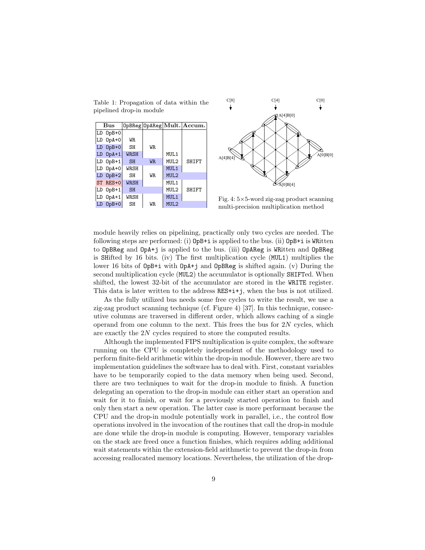Table 1: Propagation of data within the pipelined drop-in module

|    | Bus          |             |                |                  | OpBReg OpAReg Mult. Accum. |
|----|--------------|-------------|----------------|------------------|----------------------------|
|    | LD 0pB+0     |             |                |                  |                            |
|    | LD 0pA+0     | WR.         |                |                  |                            |
| LD | $0pB+0$      | <b>SH</b>   | WR.            |                  |                            |
| LD | $OpA+1$      | <b>WRSH</b> |                | MUL <sub>1</sub> |                            |
|    | $LD$ $0pB+1$ | <b>SH</b>   | W <sub>R</sub> | MUL <sub>2</sub> | <b>SHIFT</b>               |
|    | LD 0pA+0     | <b>WRSH</b> |                | MUL <sub>1</sub> |                            |
| LD | $OpB+2$      | <b>SH</b>   | WR.            | MUL <sub>2</sub> |                            |
|    | ST RES+0     | <b>WRSH</b> |                | MUL <sub>1</sub> |                            |
|    | $LD$ $0pB+1$ | <b>SH</b>   |                | MUL <sub>2</sub> | <b>SHIFT</b>               |
| LD | $OpA+1$      | <b>WRSH</b> |                | MUL <sub>1</sub> |                            |
|    | $0pB+0$      | SH          | WR.            | MUL <sub>2</sub> |                            |



Fig. 4: 5×5-word zig-zag product scanning multi-precision multiplication method

module heavily relies on pipelining, practically only two cycles are needed. The following steps are performed: (i) OpB+i is applied to the bus. (ii) OpB+i is WRitten to OpBReg and OpA+j is applied to the bus. (iii) OpAReg is WRitten and OpBReg is SHifted by 16 bits. (iv) The first multiplication cycle (MUL1) multiplies the lower 16 bits of OpB+i with OpA+j and OpBReg is shifted again. (v) During the second multiplication cycle (MUL2) the accumulator is optionally SHIFTed. When shifted, the lowest 32-bit of the accumulator are stored in the WRITE register. This data is later written to the address RES+i+j, when the bus is not utilized.

As the fully utilized bus needs some free cycles to write the result, we use a zig-zag product scanning technique (cf. Figure 4) [37]. In this technique, consecutive columns are traversed in different order, which allows caching of a single operand from one column to the next. This frees the bus for  $2N$  cycles, which are exactly the 2N cycles required to store the computed results.

Although the implemented FIPS multiplication is quite complex, the software running on the CPU is completely independent of the methodology used to perform finite-field arithmetic within the drop-in module. However, there are two implementation guidelines the software has to deal with. First, constant variables have to be temporarily copied to the data memory when being used. Second, there are two techniques to wait for the drop-in module to finish. A function delegating an operation to the drop-in module can either start an operation and wait for it to finish, or wait for a previously started operation to finish and only then start a new operation. The latter case is more performant because the CPU and the drop-in module potentially work in parallel, i.e., the control flow operations involved in the invocation of the routines that call the drop-in module are done while the drop-in module is computing. However, temporary variables on the stack are freed once a function finishes, which requires adding additional wait statements within the extension-field arithmetic to prevent the drop-in from accessing reallocated memory locations. Nevertheless, the utilization of the drop-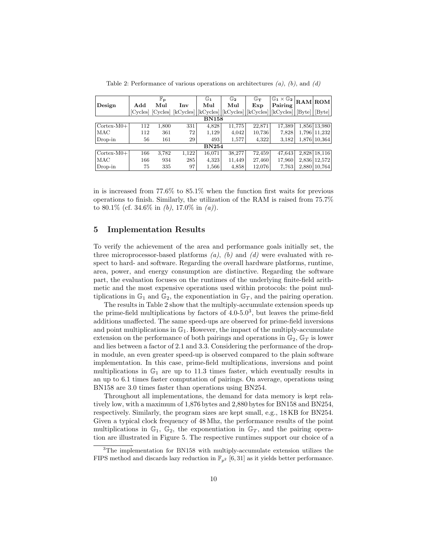|                     |              | $\mathbb{F}_\mathbf{p}$ |       | $\mathbb{G}_1$ | $\mathbb{G}_2$                | $\mathbb{G}_{\mathbf{T}}$ | $\mathbb{G}_1\times\mathbb{G}_2$                                       |       | RAM ROM         |  |
|---------------------|--------------|-------------------------|-------|----------------|-------------------------------|---------------------------|------------------------------------------------------------------------|-------|-----------------|--|
| Design              | Add          | Mul                     | Inv   | Mul            | Mul                           | Exp                       | Pairing                                                                |       |                 |  |
|                     |              | [Cycles] [Cycles]       |       |                | [kCycles] [kCycles] [kCycles] |                           | $\lfloor kCycles \rfloor \lfloor kCycles \rfloor \lfloor Byte \rfloor$ |       | $[\text{Byte}]$ |  |
|                     | <b>BN158</b> |                         |       |                |                               |                           |                                                                        |       |                 |  |
| $Cortex-M0+$        | 112          | 1,800                   | 331   | 4,828          | 11.775                        | 22,871                    | 17,389                                                                 |       | 1,856 13,980    |  |
| MAC                 | 112          | 361                     | 72    | 1,129          | 4,042                         | 10.736                    | 7,828                                                                  | 1,796 | 11,232          |  |
| $Drop-in$           | 56           | 161                     | 29    | 493            | 1,577                         | 4,322                     | 3,182                                                                  |       | 1,876 10,364    |  |
|                     | <b>BN254</b> |                         |       |                |                               |                           |                                                                        |       |                 |  |
| $\text{Cortex-M0+}$ | 166          | 3,782                   | 1,122 | 16,071         | 38,277                        | 72,459                    | 47,643                                                                 |       | 2,828 18,116    |  |
| MAC                 | 166          | 934                     | 285   | 4,323          | 11.449                        | 27,460                    | 17,960                                                                 | 2,836 | 12,572          |  |
| Drop-in             | 75           | 335                     | 97    | 1,566          | 4,858                         | 12,076                    | 7.763                                                                  |       | 2,880 10,764    |  |

Table 2: Performance of various operations on architectures  $(a)$ ,  $(b)$ , and  $(d)$ 

in is increased from 77.6% to 85.1% when the function first waits for previous operations to finish. Similarly, the utilization of the RAM is raised from 75.7% to 80.1\% (cf. 34.6\% in (b), 17.0\% in (a)).

# 5 Implementation Results

To verify the achievement of the area and performance goals initially set, the three microprocessor-based platforms  $(a)$ ,  $(b)$  and  $(d)$  were evaluated with respect to hard- and software. Regarding the overall hardware platforms, runtime, area, power, and energy consumption are distinctive. Regarding the software part, the evaluation focuses on the runtimes of the underlying finite-field arithmetic and the most expensive operations used within protocols: the point multiplications in  $\mathbb{G}_1$  and  $\mathbb{G}_2$ , the exponentiation in  $\mathbb{G}_T$ , and the pairing operation.

The results in Table 2 show that the multiply-accumulate extension speeds up the prime-field multiplications by factors of  $4.0\n-5.0<sup>3</sup>$ , but leaves the prime-field additions unaffected. The same speed-ups are observed for prime-field inversions and point multiplications in  $\mathbb{G}_1$ . However, the impact of the multiply-accumulate extension on the performance of both pairings and operations in  $\mathbb{G}_2$ ,  $\mathbb{G}_T$  is lower and lies between a factor of 2.1 and 3.3. Considering the performance of the dropin module, an even greater speed-up is observed compared to the plain software implementation. In this case, prime-field multiplications, inversions and point multiplications in  $\mathbb{G}_1$  are up to 11.3 times faster, which eventually results in an up to 6.1 times faster computation of pairings. On average, operations using BN158 are 3.0 times faster than operations using BN254.

Throughout all implementations, the demand for data memory is kept relatively low, with a maximum of 1,876 bytes and 2,880 bytes for BN158 and BN254, respectively. Similarly, the program sizes are kept small, e.g., 18 KB for BN254. Given a typical clock frequency of 48 Mhz, the performance results of the point multiplications in  $\mathbb{G}_1$ ,  $\mathbb{G}_2$ , the exponentiation in  $\mathbb{G}_T$ , and the pairing operation are illustrated in Figure 5. The respective runtimes support our choice of a

<sup>&</sup>lt;sup>3</sup>The implementation for BN158 with multiply-accumulate extension utilizes the FIPS method and discards lazy reduction in  $\mathbb{F}_{p^2}$  [6, 31] as it yields better performance.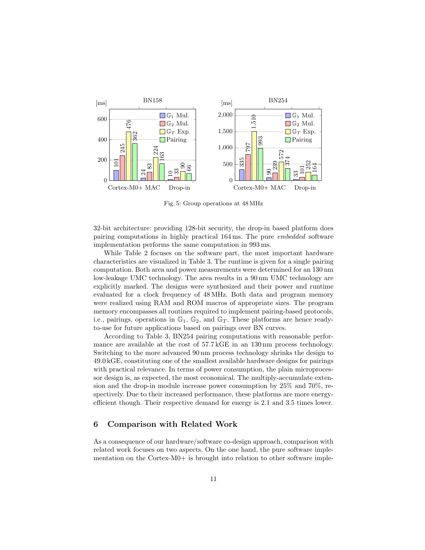

Fig. 5: Group operations at 48 MHz

32-bit architecture: providing 128-bit security, the drop-in based platform does pairing computations in highly practical 164 ms. The pure embedded software implementation performs the same computation in 993 ms.

While Table 2 focuses on the software part, the most important hardware characteristics are visualized in Table 3. The runtime is given for a single pairing computation. Both area and power measurements were determined for an 130 nm low-leakage UMC technology. The area results in a 90 nm UMC technology are explicitly marked. The designs were synthesized and their power and runtime evaluated for a clock frequency of 48 MHz. Both data and program memory were realized using RAM and ROM macros of appropriate sizes. The program memory encompasses all routines required to implement pairing-based protocols, i.e., pairings, operations in  $\mathbb{G}_1$ ,  $\mathbb{G}_2$ , and  $\mathbb{G}_T$ . These platforms are hence readyto-use for future applications based on pairings over BN curves.

According to Table 3, BN254 pairing computations with reasonable performance are available at the cost of 57.7 kGE in an 130 nm process technology. Switching to the more advanced 90 nm process technology shrinks the design to 49.0 kGE, constituting one of the smallest available hardware designs for pairings with practical relevance. In terms of power consumption, the plain microprocessor design is, as expected, the most economical. The multiply-accumulate extension and the drop-in module increase power consumption by 25% and 70%, respectively. Due to their increased performance, these platforms are more energyefficient though. Their respective demand for energy is 2.1 and 3.5 times lower.

#### 6 Comparison with Related Work

As a consequence of our hardware/software co-design approach, comparison with related work focuses on two aspects. On the one hand, the pure software implementation on the Cortex-M0+ is brought into relation to other software imple-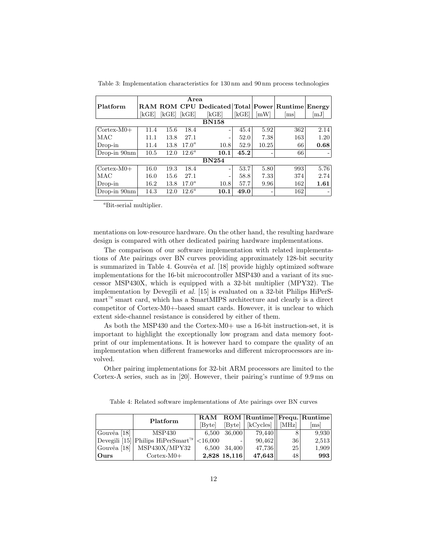|                     | Area |      |                |                                                  |      |       |                            |      |
|---------------------|------|------|----------------|--------------------------------------------------|------|-------|----------------------------|------|
| Platform            |      |      |                | RAM ROM CPU Dedicated Total Power Runtime Energy |      |       |                            |      |
|                     | kGE  | kGE  | kGE            | $\left[\mathrm{kGE}\right]$                      | kGE  | [mW]  | $\left[\mathrm{ms}\right]$ | [mJ] |
| <b>BN158</b>        |      |      |                |                                                  |      |       |                            |      |
| $\text{Cortex-M0+}$ | 11.4 | 15.6 | 18.4           | -                                                | 45.4 | 5.92  | 362                        | 2.14 |
| MAC                 | 11.1 | 13.8 | 27.1           | -                                                | 52.0 | 7.38  | 163                        | 1.20 |
| Drop-in             | 11.4 | 13.8 | $17.0^a$       | 10.8                                             | 52.9 | 10.25 | 66                         | 0.68 |
| $Drop-in 90nm$      | 10.5 | 12.0 | $12.6^{\circ}$ | 10.1                                             | 45.2 |       | 66                         |      |
|                     |      |      |                | <b>BN254</b>                                     |      |       |                            |      |
| $\text{Cortex-M0+}$ | 16.0 | 19.3 | 18.4           | -                                                | 53.7 | 5.80  | 993                        | 5.76 |
| MAC                 | 16.0 | 15.6 | 27.1           |                                                  | 58.8 | 7.33  | 374                        | 2.74 |
| Drop-in             | 16.2 | 13.8 | $17.0^a$       | 10.8                                             | 57.7 | 9.96  | 162                        | 1.61 |
| Drop-in $90nm$      | 14.3 | 12.0 | $12.6^{\circ}$ | 10.1                                             | 49.0 |       | 162                        |      |

Table 3: Implementation characteristics for 130 nm and 90 nm process technologies

<sup>a</sup>Bit-serial multiplier.

mentations on low-resource hardware. On the other hand, the resulting hardware design is compared with other dedicated pairing hardware implementations.

The comparison of our software implementation with related implementations of Ate pairings over BN curves providing approximately 128-bit security is summarized in Table 4. Gouvêa et al.  $[18]$  provide highly optimized software implementations for the 16-bit microcontroller MSP430 and a variant of its successor MSP430X, which is equipped with a 32-bit multiplier (MPY32). The implementation by Devegili et al. [15] is evaluated on a 32-bit Philips HiPerS $m$ mart  $\alpha$  smart card, which has a SmartMIPS architecture and clearly is a direct competitor of Cortex-M0+-based smart cards. However, it is unclear to which extent side-channel resistance is considered by either of them.

As both the MSP430 and the Cortex-M0+ use a 16-bit instruction-set, it is important to highlight the exceptionally low program and data memory footprint of our implementations. It is however hard to compare the quality of an implementation when different frameworks and different microprocessors are involved.

Other pairing implementations for 32-bit ARM processors are limited to the Cortex-A series, such as in [20]. However, their pairing's runtime of 9.9 ms on

Table 4: Related software implementations of Ate pairings over BN curves

|             | Platform                                              |        |              | RAM ROM Runtime Frequ. Runtime |           |       |
|-------------|-------------------------------------------------------|--------|--------------|--------------------------------|-----------|-------|
|             |                                                       | [Bvte] | [Byte]       | $kCycles$   [MHz]              |           | lmsl  |
| Gouvêa [18] | MSP430                                                | 6,500  | 36,000       | 79,440                         |           | 9.930 |
|             | Devegili [15] Philips HiPerSmart <sup>™</sup> <16,000 |        |              | 90,462                         | <b>36</b> | 2,513 |
| Gouvêa [18] | MSP430X/MPY32                                         |        | 6,500 34,400 | 47,736                         | <b>25</b> | 1,909 |
| Ours        | $\text{Cortex-M0+}$                                   |        | 2,828 18,116 | 47,643                         | 48'       | 993   |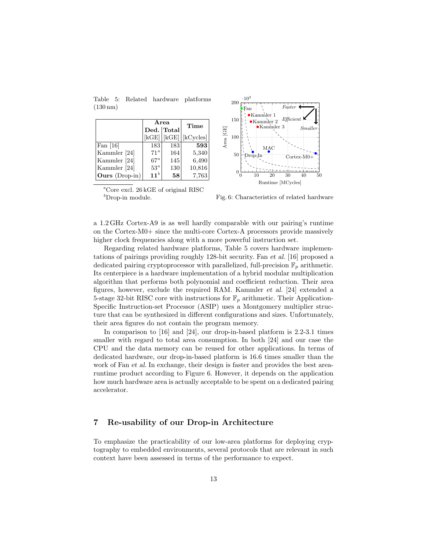Table 5: Related hardware platforms (130 nm)

|                       |                 | Area       | Time      |  |
|-----------------------|-----------------|------------|-----------|--|
|                       |                 | Ded. Total |           |  |
|                       | kGE             | kGE        | [kCycles] |  |
| Fan $[16]$            | 183             | 183        | 593       |  |
| Kammler [24]          | 71 <sup>a</sup> | 164        | 5,340     |  |
| Kammler [24]          | $67^{\circ}$    | 145        | 6,490     |  |
| Kammler [24]          | 53 <sup>a</sup> | 130        | 10,816    |  |
| <b>Ours</b> (Drop-in) | 11 <sup>b</sup> | 58         | 7,763     |  |



 ${}^a$ Core excl. 26 kGE of original RISC  $b$ Drop-in module.

Fig. 6: Characteristics of related hardware

a 1.2 GHz Cortex-A9 is as well hardly comparable with our pairing's runtime on the Cortex-M0+ since the multi-core Cortex-A processors provide massively higher clock frequencies along with a more powerful instruction set.

Regarding related hardware platforms, Table 5 covers hardware implementations of pairings providing roughly 128-bit security. Fan et al. [16] proposed a dedicated pairing cryptoprocessor with parallelized, full-precision  $\mathbb{F}_p$  arithmetic. Its centerpiece is a hardware implementation of a hybrid modular multiplication algorithm that performs both polynomial and coefficient reduction. Their area figures, however, exclude the required RAM. Kammler et al. [24] extended a 5-stage 32-bit RISC core with instructions for  $\mathbb{F}_p$  arithmetic. Their Application-Specific Instruction-set Processor (ASIP) uses a Montgomery multiplier structure that can be synthesized in different configurations and sizes. Unfortunately, their area figures do not contain the program memory.

In comparison to [16] and [24], our drop-in-based platform is 2.2-3.1 times smaller with regard to total area consumption. In both [24] and our case the CPU and the data memory can be reused for other applications. In terms of dedicated hardware, our drop-in-based platform is 16.6 times smaller than the work of Fan et al. In exchange, their design is faster and provides the best arearuntime product according to Figure 6. However, it depends on the application how much hardware area is actually acceptable to be spent on a dedicated pairing accelerator.

# 7 Re-usability of our Drop-in Architecture

To emphasize the practicability of our low-area platforms for deploying cryptography to embedded environments, several protocols that are relevant in such context have been assessed in terms of the performance to expect.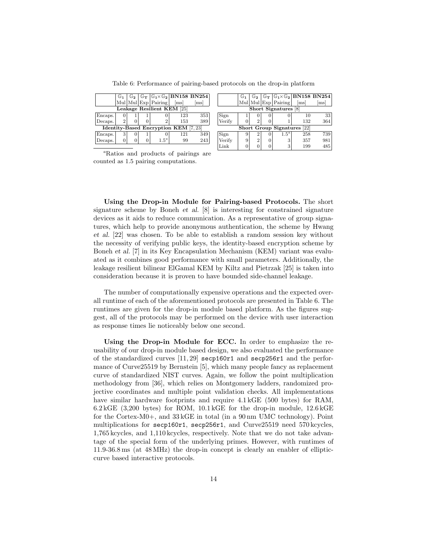|                                             |   |  |  |                     |      | $\mathbb{G}_1$   $\mathbb{G}_2$   $\overline{\mathbb{G}_{\mathrm{T}}}$   $\overline{\mathbb{G}_{\mathrm{1}} \times \mathbb{G}_{\mathrm{2}}}$   BN158 BN254 |  |  |
|---------------------------------------------|---|--|--|---------------------|------|------------------------------------------------------------------------------------------------------------------------------------------------------------|--|--|
|                                             |   |  |  | Mul Mul Exp Pairing | [ms] | [ms]                                                                                                                                                       |  |  |
| Leakage Resilient KEM [25]                  |   |  |  |                     |      |                                                                                                                                                            |  |  |
| Encaps.                                     |   |  |  |                     | 123  | 353                                                                                                                                                        |  |  |
| Decaps.                                     | 2 |  |  |                     | 153  | 389                                                                                                                                                        |  |  |
| <b>Identity-Based Encryption KEM</b> [7,23] |   |  |  |                     |      |                                                                                                                                                            |  |  |
| Encaps.                                     | 3 |  |  |                     | 121  | 349                                                                                                                                                        |  |  |
| Decaps.                                     |   |  |  | $1.5^a$             | 99   | 243                                                                                                                                                        |  |  |

|                                | $\mathbb{G}_1$ |                |          |                     |      | $\mathbb{G}_2$ $\mathbb{G}_T$ $\mathbb{G}_1 \times \mathbb{G}_2$ BN158 BN254 |  |  |
|--------------------------------|----------------|----------------|----------|---------------------|------|------------------------------------------------------------------------------|--|--|
|                                |                |                |          | Mul Mul Exp Pairing | [ms] | [ms]                                                                         |  |  |
| Short Signatures [8]           |                |                |          |                     |      |                                                                              |  |  |
| Sign<br>Verify                 |                |                |          |                     | 10   | 33                                                                           |  |  |
|                                |                | $\mathcal{D}$  |          |                     | 132  | 364                                                                          |  |  |
| [22]<br>Short Group Signatures |                |                |          |                     |      |                                                                              |  |  |
| Sign<br>Verify                 | 9              | $\overline{2}$ | $^{(1)}$ | $1.5^a$             | 258  | 739                                                                          |  |  |
|                                | 9              | $\overline{2}$ | 0        | 3                   | 357  | 981                                                                          |  |  |
| '.ink                          |                |                |          | 3                   | 199  | 485                                                                          |  |  |

Table 6: Performance of pairing-based protocols on the drop-in platform

<sup>a</sup>Ratios and products of pairings are counted as 1.5 pairing computations.

Using the Drop-in Module for Pairing-based Protocols. The short signature scheme by Boneh et al. [8] is interesting for constrained signature devices as it aids to reduce communication. As a representative of group signatures, which help to provide anonymous authentication, the scheme by Hwang et al. [22] was chosen. To be able to establish a random session key without the necessity of verifying public keys, the identity-based encryption scheme by Boneh et al. [7] in its Key Encapsulation Mechanism (KEM) variant was evaluated as it combines good performance with small parameters. Additionally, the leakage resilient bilinear ElGamal KEM by Kiltz and Pietrzak [25] is taken into consideration because it is proven to have bounded side-channel leakage.

The number of computationally expensive operations and the expected overall runtime of each of the aforementioned protocols are presented in Table 6. The runtimes are given for the drop-in module based platform. As the figures suggest, all of the protocols may be performed on the device with user interaction as response times lie noticeably below one second.

Using the Drop-in Module for ECC. In order to emphasize the reusability of our drop-in module based design, we also evaluated the performance of the standardized curves [11, 29] secp160r1 and secp256r1 and the performance of Curve25519 by Bernstein [5], which many people fancy as replacement curve of standardized NIST curves. Again, we follow the point multiplication methodology from [36], which relies on Montgomery ladders, randomized projective coordinates and multiple point validation checks. All implementations have similar hardware footprints and require  $4.1 \text{ kGE}$  (500 bytes) for RAM,  $6.2\,\text{kGE}$  (3,200 bytes) for ROM, 10.1 kGE for the drop-in module, 12.6 kGE for the Cortex-M0+, and 33 kGE in total (in a 90 nm UMC technology). Point multiplications for secp160r1, secp256r1, and Curve25519 need 570 kcycles, 1,765 kcycles, and 1,110 kcycles, respectively. Note that we do not take advantage of the special form of the underlying primes. However, with runtimes of 11.9-36.8 ms (at 48 MHz) the drop-in concept is clearly an enabler of ellipticcurve based interactive protocols.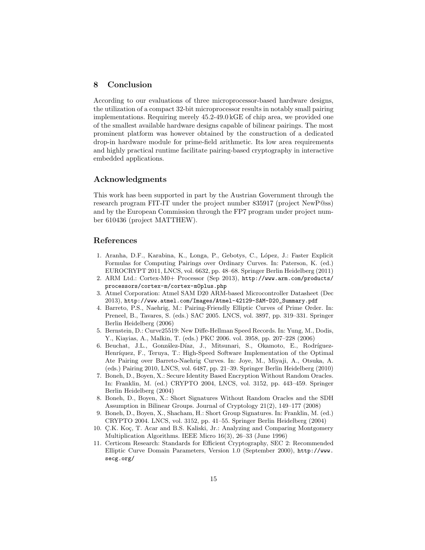# 8 Conclusion

According to our evaluations of three microprocessor-based hardware designs, the utilization of a compact 32-bit microprocessor results in notably small pairing implementations. Requiring merely 45.2-49.0 kGE of chip area, we provided one of the smallest available hardware designs capable of bilinear pairings. The most prominent platform was however obtained by the construction of a dedicated drop-in hardware module for prime-field arithmetic. Its low area requirements and highly practical runtime facilitate pairing-based cryptography in interactive embedded applications.

# Acknowledgments

This work has been supported in part by the Austrian Government through the research program FIT-IT under the project number 835917 (project NewP@ss) and by the European Commission through the FP7 program under project number 610436 (project MATTHEW).

#### References

- 1. Aranha, D.F., Karabina, K., Longa, P., Gebotys, C., López, J.: Faster Explicit Formulas for Computing Pairings over Ordinary Curves. In: Paterson, K. (ed.) EUROCRYPT 2011, LNCS, vol. 6632, pp. 48–68. Springer Berlin Heidelberg (2011)
- 2. ARM Ltd.: Cortex-M0+ Processor (Sep 2013), http://www.arm.com/products/ processors/cortex-m/cortex-m0plus.php
- 3. Atmel Corporation: Atmel SAM D20 ARM-based Microcontroller Datasheet (Dec 2013), http://www.atmel.com/Images/Atmel-42129-SAM-D20\_Summary.pdf
- 4. Barreto, P.S., Naehrig, M.: Pairing-Friendly Elliptic Curves of Prime Order. In: Preneel, B., Tavares, S. (eds.) SAC 2005. LNCS, vol. 3897, pp. 319–331. Springer Berlin Heidelberg (2006)
- 5. Bernstein, D.: Curve25519: New Diffe-Hellman Speed Records. In: Yung, M., Dodis, Y., Kiayias, A., Malkin, T. (eds.) PKC 2006. vol. 3958, pp. 207–228 (2006)
- 6. Beuchat, J.L., González-Díaz, J., Mitsunari, S., Okamoto, E., Rodríguez-Henríquez, F., Teruya, T.: High-Speed Software Implementation of the Optimal Ate Pairing over Barreto-Naehrig Curves. In: Joye, M., Miyaji, A., Otsuka, A. (eds.) Pairing 2010, LNCS, vol. 6487, pp. 21–39. Springer Berlin Heidelberg (2010)
- 7. Boneh, D., Boyen, X.: Secure Identity Based Encryption Without Random Oracles. In: Franklin, M. (ed.) CRYPTO 2004, LNCS, vol. 3152, pp. 443–459. Springer Berlin Heidelberg (2004)
- 8. Boneh, D., Boyen, X.: Short Signatures Without Random Oracles and the SDH Assumption in Bilinear Groups. Journal of Cryptology 21(2), 149–177 (2008)
- 9. Boneh, D., Boyen, X., Shacham, H.: Short Group Signatures. In: Franklin, M. (ed.) CRYPTO 2004. LNCS, vol. 3152, pp. 41–55. Springer Berlin Heidelberg (2004)
- 10. Ç.K. Koç, T. Acar and B.S. Kaliski, Jr.: Analyzing and Comparing Montgomery Multiplication Algorithms. IEEE Micro 16(3), 26–33 (June 1996)
- 11. Certicom Research: Standards for Efficient Cryptography, SEC 2: Recommended Elliptic Curve Domain Parameters, Version 1.0 (September 2000), http://www. secg.org/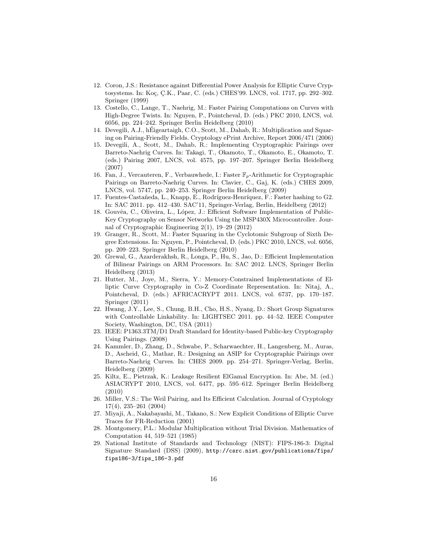- 12. Coron, J.S.: Resistance against Differential Power Analysis for Elliptic Curve Cryptosystems. In: Koç, Ç.K., Paar, C. (eds.) CHES'99. LNCS, vol. 1717, pp. 292-302. Springer (1999)
- 13. Costello, C., Lange, T., Naehrig, M.: Faster Pairing Computations on Curves with High-Degree Twists. In: Nguyen, P., Pointcheval, D. (eds.) PKC 2010, LNCS, vol. 6056, pp. 224–242. Springer Berlin Heidelberg (2010)
- 14. Devegili, A.J., hEigeartaigh, C.O., Scott, M., Dahab, R.: Multiplication and Squar- ´ ing on Pairing-Friendly Fields. Cryptology ePrint Archive, Report 2006/471 (2006)
- 15. Devegili, A., Scott, M., Dahab, R.: Implementing Cryptographic Pairings over Barreto-Naehrig Curves. In: Takagi, T., Okamoto, T., Okamoto, E., Okamoto, T. (eds.) Pairing 2007, LNCS, vol. 4575, pp. 197–207. Springer Berlin Heidelberg (2007)
- 16. Fan, J., Vercauteren, F., Verbauwhede, I.: Faster  $\mathbb{F}_p$ -Arithmetic for Cryptographic Pairings on Barreto-Naehrig Curves. In: Clavier, C., Gaj, K. (eds.) CHES 2009, LNCS, vol. 5747, pp. 240–253. Springer Berlin Heidelberg (2009)
- 17. Fuentes-Castañeda, L., Knapp, E., Rodríguez-Henríquez, F.: Faster hashing to G2. In: SAC 2011. pp. 412–430. SAC'11, Springer-Verlag, Berlin, Heidelberg (2012)
- 18. Gouvêa, C., Oliveira, L., López, J.: Efficient Software Implementation of Public-Key Cryptography on Sensor Networks Using the MSP430X Microcontroller. Journal of Cryptographic Engineering 2(1), 19–29 (2012)
- 19. Granger, R., Scott, M.: Faster Squaring in the Cyclotomic Subgroup of Sixth Degree Extensions. In: Nguyen, P., Pointcheval, D. (eds.) PKC 2010, LNCS, vol. 6056, pp. 209–223. Springer Berlin Heidelberg (2010)
- 20. Grewal, G., Azarderakhsh, R., Longa, P., Hu, S., Jao, D.: Efficient Implementation of Bilinear Pairings on ARM Processors. In: SAC 2012. LNCS, Springer Berlin Heidelberg (2013)
- 21. Hutter, M., Joye, M., Sierra, Y.: Memory-Constrained Implementations of Elliptic Curve Cryptography in Co-Z Coordinate Representation. In: Nitaj, A., Pointcheval, D. (eds.) AFRICACRYPT 2011. LNCS, vol. 6737, pp. 170–187. Springer (2011)
- 22. Hwang, J.Y., Lee, S., Chung, B.H., Cho, H.S., Nyang, D.: Short Group Signatures with Controllable Linkability. In: LIGHTSEC 2011. pp. 44–52. IEEE Computer Society, Washington, DC, USA (2011)
- 23. IEEE: P1363.3TM/D1 Draft Standard for Identity-based Public-key Cryptography Using Pairings. (2008)
- 24. Kammler, D., Zhang, D., Schwabe, P., Scharwaechter, H., Langenberg, M., Auras, D., Ascheid, G., Mathar, R.: Designing an ASIP for Cryptographic Pairings over Barreto-Naehrig Curves. In: CHES 2009. pp. 254–271. Springer-Verlag, Berlin, Heidelberg (2009)
- 25. Kiltz, E., Pietrzak, K.: Leakage Resilient ElGamal Encryption. In: Abe, M. (ed.) ASIACRYPT 2010, LNCS, vol. 6477, pp. 595–612. Springer Berlin Heidelberg (2010)
- 26. Miller, V.S.: The Weil Pairing, and Its Efficient Calculation. Journal of Cryptology 17(4), 235–261 (2004)
- 27. Miyaji, A., Nakabayashi, M., Takano, S.: New Explicit Conditions of Elliptic Curve Traces for FR-Reduction (2001)
- 28. Montgomery, P.L.: Modular Multiplication without Trial Division. Mathematics of Computation 44, 519–521 (1985)
- 29. National Institute of Standards and Technology (NIST): FIPS-186-3: Digital Signature Standard (DSS) (2009), http://csrc.nist.gov/publications/fips/ fips186-3/fips\_186-3.pdf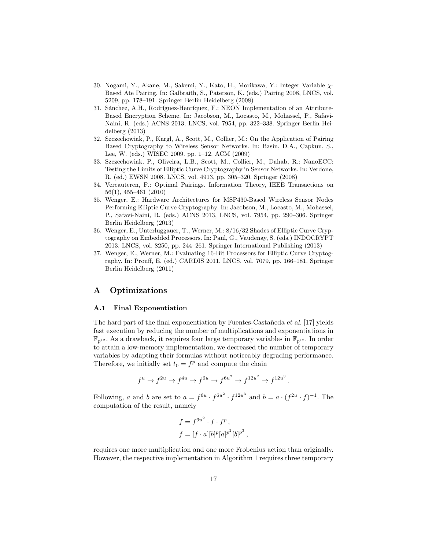- 30. Nogami, Y., Akane, M., Sakemi, Y., Kato, H., Morikawa, Y.: Integer Variable χ-Based Ate Pairing. In: Galbraith, S., Paterson, K. (eds.) Pairing 2008, LNCS, vol. 5209, pp. 178–191. Springer Berlin Heidelberg (2008)
- 31. Sánchez, A.H., Rodríguez-Henríquez, F.: NEON Implementation of an Attribute-Based Encryption Scheme. In: Jacobson, M., Locasto, M., Mohassel, P., Safavi-Naini, R. (eds.) ACNS 2013, LNCS, vol. 7954, pp. 322–338. Springer Berlin Heidelberg (2013)
- 32. Szczechowiak, P., Kargl, A., Scott, M., Collier, M.: On the Application of Pairing Based Cryptography to Wireless Sensor Networks. In: Basin, D.A., Capkun, S., Lee, W. (eds.) WISEC 2009. pp. 1–12. ACM (2009)
- 33. Szczechowiak, P., Oliveira, L.B., Scott, M., Collier, M., Dahab, R.: NanoECC: Testing the Limits of Elliptic Curve Cryptography in Sensor Networks. In: Verdone, R. (ed.) EWSN 2008. LNCS, vol. 4913, pp. 305–320. Springer (2008)
- 34. Vercauteren, F.: Optimal Pairings. Information Theory, IEEE Transactions on 56(1), 455–461 (2010)
- 35. Wenger, E.: Hardware Architectures for MSP430-Based Wireless Sensor Nodes Performing Elliptic Curve Cryptography. In: Jacobson, M., Locasto, M., Mohassel, P., Safavi-Naini, R. (eds.) ACNS 2013, LNCS, vol. 7954, pp. 290–306. Springer Berlin Heidelberg (2013)
- 36. Wenger, E., Unterluggauer, T., Werner, M.: 8/16/32 Shades of Elliptic Curve Cryptography on Embedded Processors. In: Paul, G., Vaudenay, S. (eds.) INDOCRYPT 2013. LNCS, vol. 8250, pp. 244–261. Springer International Publishing (2013)
- 37. Wenger, E., Werner, M.: Evaluating 16-Bit Processors for Elliptic Curve Cryptography. In: Prouff, E. (ed.) CARDIS 2011, LNCS, vol. 7079, pp. 166–181. Springer Berlin Heidelberg (2011)

# A Optimizations

#### A.1 Final Exponentiation

The hard part of the final exponentiation by Fuentes-Castañeda *et al.* [17] yields fast execution by reducing the number of multiplications and exponentiations in  $\mathbb{F}_{p^{12}}$ . As a drawback, it requires four large temporary variables in  $\mathbb{F}_{p^{12}}$ . In order to attain a low-memory implementation, we decreased the number of temporary variables by adapting their formulas without noticeably degrading performance. Therefore, we initially set  $t_0 = f^p$  and compute the chain

$$
f^u\rightarrow f^{2u}\rightarrow f^{4u}\rightarrow f^{6u}\rightarrow f^{6u^2}\rightarrow f^{12u^2}\rightarrow f^{12u^3}\,.
$$

Following, a and b are set to  $a = f^{6u} \cdot f^{6u^2} \cdot f^{12u^3}$  and  $b = a \cdot (f^{2u} \cdot f)^{-1}$ . The computation of the result, namely

$$
f = f^{6u^2} \cdot f \cdot f^p,
$$
  

$$
f = [f \cdot a][b]^p [a]^{p^2} [b]^{p^3}
$$

,

requires one more multiplication and one more Frobenius action than originally. However, the respective implementation in Algorithm 1 requires three temporary